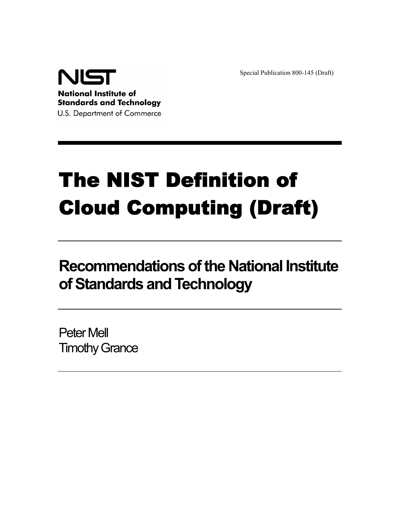

Special Publication 800-145 (Draft)

# The NIST Definition of Cloud Computing (Draft)

# **Recommendations of the National Institute of Standards and Technology**

Peter Mell Timothy Grance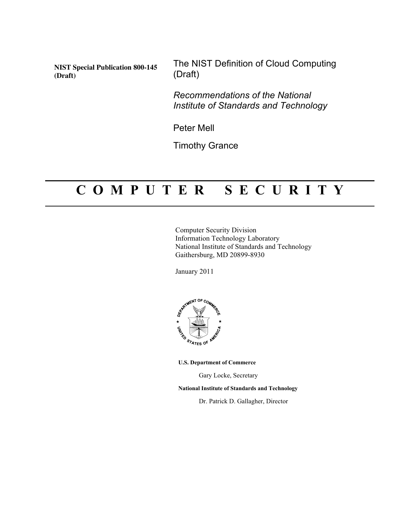**NIST Special Publication 800-145 (Draft)**

The NIST Definition of Cloud Computing (Draft)

*Recommendations of the National Institute of Standards and Technology*

Peter Mell

Timothy Grance

# **C O M P U T E R S E C U R I T Y**

Computer Security Division Information Technology Laboratory National Institute of Standards and Technology Gaithersburg, MD 20899-8930

January 2011



**U.S. Department of Commerce**

Gary Locke, Secretary

**National Institute of Standards and Technology**

Dr. Patrick D. Gallagher, Director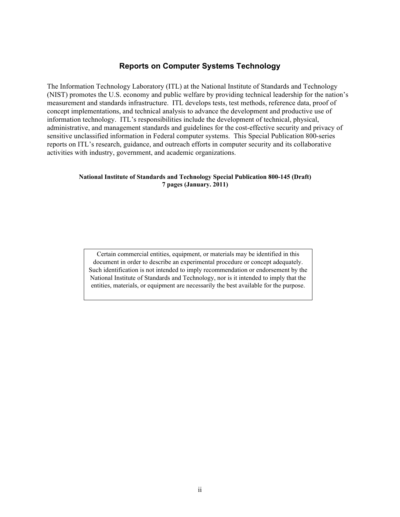#### **Reports on Computer Systems Technology**

The Information Technology Laboratory (ITL) at the National Institute of Standards and Technology (NIST) promotes the U.S. economy and public welfare by providing technical leadership for the nation's measurement and standards infrastructure. ITL develops tests, test methods, reference data, proof of concept implementations, and technical analysis to advance the development and productive use of information technology. ITL's responsibilities include the development of technical, physical, administrative, and management standards and guidelines for the cost-effective security and privacy of sensitive unclassified information in Federal computer systems. This Special Publication 800-series reports on ITL's research, guidance, and outreach efforts in computer security and its collaborative activities with industry, government, and academic organizations.

#### **National Institute of Standards and Technology Special Publication 800-145 (Draft) 7 pages (January. 2011)**

Certain commercial entities, equipment, or materials may be identified in this document in order to describe an experimental procedure or concept adequately. Such identification is not intended to imply recommendation or endorsement by the National Institute of Standards and Technology, nor is it intended to imply that the entities, materials, or equipment are necessarily the best available for the purpose.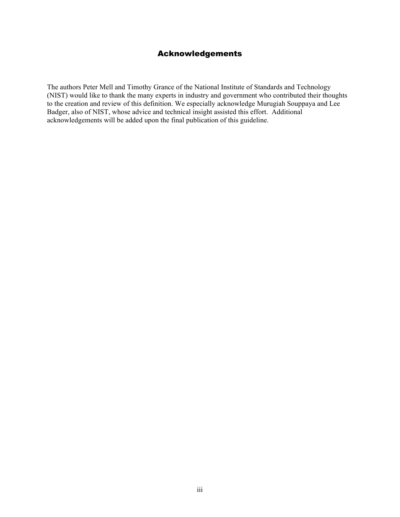### Acknowledgements

The authors Peter Mell and Timothy Grance of the National Institute of Standards and Technology (NIST) would like to thank the many experts in industry and government who contributed their thoughts to the creation and review of this definition. We especially acknowledge Murugiah Souppaya and Lee Badger, also of NIST, whose advice and technical insight assisted this effort. Additional acknowledgements will be added upon the final publication of this guideline.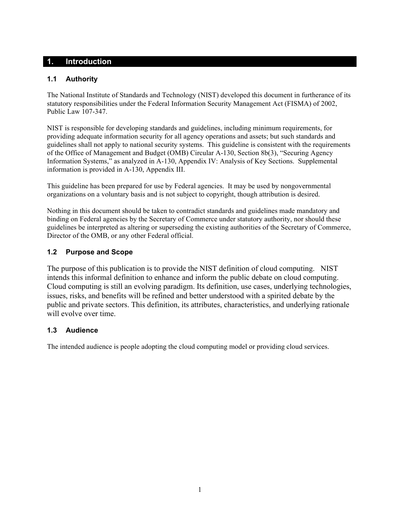# **1. Introduction**

### **1.1 Authority**

The National Institute of Standards and Technology (NIST) developed this document in furtherance of its statutory responsibilities under the Federal Information Security Management Act (FISMA) of 2002, Public Law 107-347.

NIST is responsible for developing standards and guidelines, including minimum requirements, for providing adequate information security for all agency operations and assets; but such standards and guidelines shall not apply to national security systems. This guideline is consistent with the requirements of the Office of Management and Budget (OMB) Circular A-130, Section 8b(3), "Securing Agency Information Systems," as analyzed in A-130, Appendix IV: Analysis of Key Sections. Supplemental information is provided in A-130, Appendix III.

This guideline has been prepared for use by Federal agencies. It may be used by nongovernmental organizations on a voluntary basis and is not subject to copyright, though attribution is desired.

Nothing in this document should be taken to contradict standards and guidelines made mandatory and binding on Federal agencies by the Secretary of Commerce under statutory authority, nor should these guidelines be interpreted as altering or superseding the existing authorities of the Secretary of Commerce, Director of the OMB, or any other Federal official.

# **1.2 Purpose and Scope**

The purpose of this publication is to provide the NIST definition of cloud computing. NIST intends this informal definition to enhance and inform the public debate on cloud computing. Cloud computing is still an evolving paradigm. Its definition, use cases, underlying technologies, issues, risks, and benefits will be refined and better understood with a spirited debate by the public and private sectors. This definition, its attributes, characteristics, and underlying rationale will evolve over time.

### **1.3 Audience**

The intended audience is people adopting the cloud computing model or providing cloud services.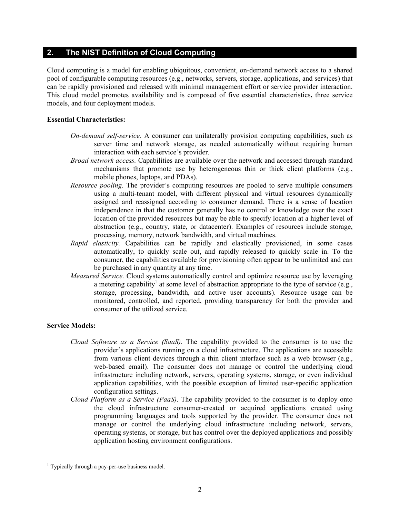#### **2. The NIST Definition of Cloud Computing**

Cloud computing is a model for enabling ubiquitous, convenient, on-demand network access to a shared pool of configurable computing resources (e.g., networks, servers, storage, applications, and services) that can be rapidly provisioned and released with minimal management effort or service provider interaction. This cloud model promotes availability and is composed of five essential characteristics**,** three service models, and four deployment models.

#### **Essential Characteristics:**

- *On-demand self-service.* A consumer can unilaterally provision computing capabilities, such as server time and network storage, as needed automatically without requiring human interaction with each service's provider.
- *Broad network access.* Capabilities are available over the network and accessed through standard mechanisms that promote use by heterogeneous thin or thick client platforms (e.g., mobile phones, laptops, and PDAs).
- *Resource pooling.* The provider's computing resources are pooled to serve multiple consumers using a multi-tenant model, with different physical and virtual resources dynamically assigned and reassigned according to consumer demand. There is a sense of location independence in that the customer generally has no control or knowledge over the exact location of the provided resources but may be able to specify location at a higher level of abstraction (e.g., country, state, or datacenter). Examples of resources include storage, processing, memory, network bandwidth, and virtual machines.
- *Rapid elasticity.* Capabilities can be rapidly and elastically provisioned, in some cases automatically, to quickly scale out, and rapidly released to quickly scale in. To the consumer, the capabilities available for provisioning often appear to be unlimited and can be purchased in any quantity at any time.
- *Measured Service.* Cloud systems automatically control and optimize resource use by leveraging a metering capability<sup>1</sup> at some level of abstraction appropriate to the type of service (e.g., storage, processing, bandwidth, and active user accounts). Resource usage can be monitored, controlled, and reported, providing transparency for both the provider and consumer of the utilized service.

#### **Service Models:**

- *Cloud Software as a Service (SaaS).* The capability provided to the consumer is to use the provider's applications running on a cloud infrastructure. The applications are accessible from various client devices through a thin client interface such as a web browser (e.g., web-based email). The consumer does not manage or control the underlying cloud infrastructure including network, servers, operating systems, storage, or even individual application capabilities, with the possible exception of limited user-specific application configuration settings.
- *Cloud Platform as a Service (PaaS)*. The capability provided to the consumer is to deploy onto the cloud infrastructure consumer-created or acquired applications created using programming languages and tools supported by the provider. The consumer does not manage or control the underlying cloud infrastructure including network, servers, operating systems, or storage, but has control over the deployed applications and possibly application hosting environment configurations.

<sup>|&</sup>lt;br>|<br>| <sup>1</sup> Typically through a pay-per-use business model.